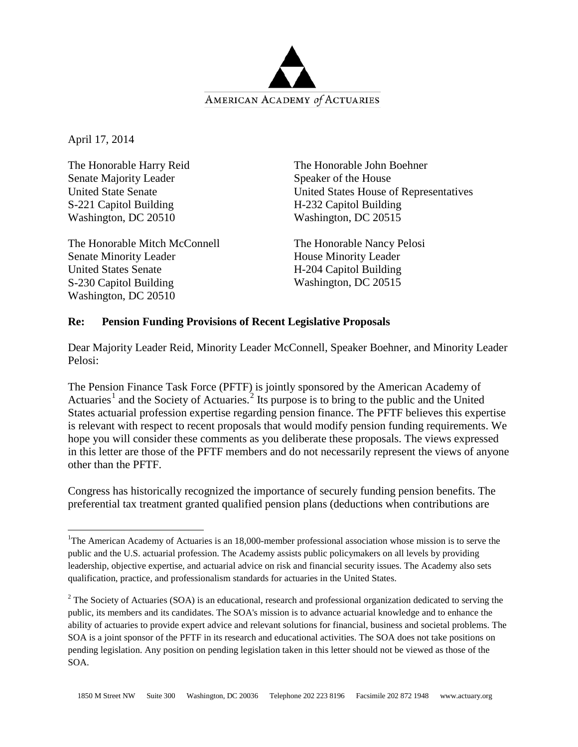

April 17, 2014

 $\overline{\phantom{a}}$ 

The Honorable Harry Reid Senate Majority Leader United State Senate S-221 Capitol Building Washington, DC 20510

The Honorable Mitch McConnell Senate Minority Leader United States Senate S-230 Capitol Building Washington, DC 20510

The Honorable John Boehner Speaker of the House United States House of Representatives H-232 Capitol Building Washington, DC 20515

The Honorable Nancy Pelosi House Minority Leader H-204 Capitol Building Washington, DC 20515

## **Re: Pension Funding Provisions of Recent Legislative Proposals**

Dear Majority Leader Reid, Minority Leader McConnell, Speaker Boehner, and Minority Leader Pelosi:

The Pension Finance Task Force (PFTF) is jointly sponsored by the American Academy of Actuaries<sup>[1](#page-0-0)</sup> and the Society of Actuaries.<sup>[2](#page-0-1)</sup> Its purpose is to bring to the public and the United States actuarial profession expertise regarding pension finance. The PFTF believes this expertise is relevant with respect to recent proposals that would modify pension funding requirements. We hope you will consider these comments as you deliberate these proposals. The views expressed in this letter are those of the PFTF members and do not necessarily represent the views of anyone other than the PFTF.

Congress has historically recognized the importance of securely funding pension benefits. The preferential tax treatment granted qualified pension plans (deductions when contributions are

<span id="page-0-0"></span><sup>&</sup>lt;sup>1</sup>The American Academy of Actuaries is an 18,000-member professional association whose mission is to serve the public and the U.S. actuarial profession. The Academy assists public policymakers on all levels by providing leadership, objective expertise, and actuarial advice on risk and financial security issues. The Academy also sets qualification, practice, and professionalism standards for actuaries in the United States.

<span id="page-0-1"></span><sup>&</sup>lt;sup>2</sup> The Society of Actuaries (SOA) is an educational, research and professional organization dedicated to serving the public, its members and its candidates. The SOA's mission is to advance actuarial knowledge and to enhance the ability of actuaries to provide expert advice and relevant solutions for financial, business and societal problems. The SOA is a joint sponsor of the PFTF in its research and educational activities. The SOA does not take positions on pending legislation. Any position on pending legislation taken in this letter should not be viewed as those of the SOA.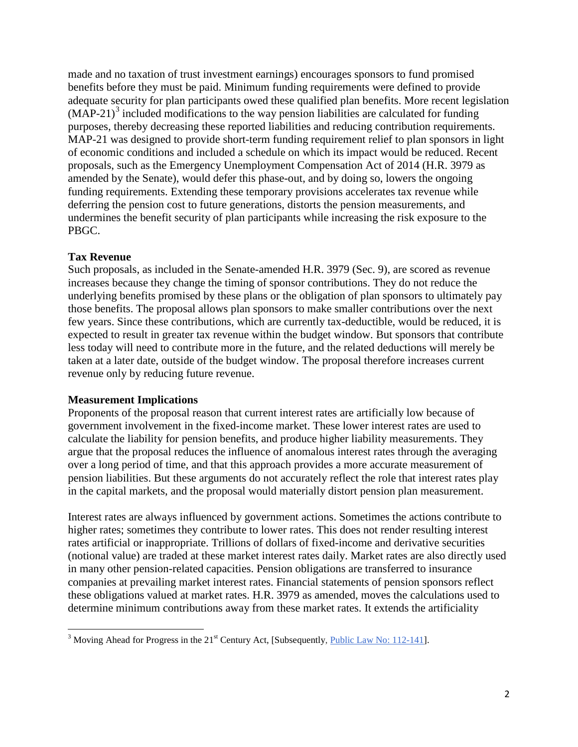made and no taxation of trust investment earnings) encourages sponsors to fund promised benefits before they must be paid. Minimum funding requirements were defined to provide adequate security for plan participants owed these qualified plan benefits. More recent legislation  $(MAP-21)<sup>3</sup>$  $(MAP-21)<sup>3</sup>$  $(MAP-21)<sup>3</sup>$  included modifications to the way pension liabilities are calculated for funding purposes, thereby decreasing these reported liabilities and reducing contribution requirements. MAP-21 was designed to provide short-term funding requirement relief to plan sponsors in light of economic conditions and included a schedule on which its impact would be reduced. Recent proposals, such as the Emergency Unemployment Compensation Act of 2014 (H.R. 3979 as amended by the Senate), would defer this phase-out, and by doing so, lowers the ongoing funding requirements. Extending these temporary provisions accelerates tax revenue while deferring the pension cost to future generations, distorts the pension measurements, and undermines the benefit security of plan participants while increasing the risk exposure to the PBGC.

## **Tax Revenue**

 $\overline{\phantom{a}}$ 

Such proposals, as included in the Senate-amended H.R. 3979 (Sec. 9), are scored as revenue increases because they change the timing of sponsor contributions. They do not reduce the underlying benefits promised by these plans or the obligation of plan sponsors to ultimately pay those benefits. The proposal allows plan sponsors to make smaller contributions over the next few years. Since these contributions, which are currently tax-deductible, would be reduced, it is expected to result in greater tax revenue within the budget window. But sponsors that contribute less today will need to contribute more in the future, and the related deductions will merely be taken at a later date, outside of the budget window. The proposal therefore increases current revenue only by reducing future revenue.

## **Measurement Implications**

Proponents of the proposal reason that current interest rates are artificially low because of government involvement in the fixed-income market. These lower interest rates are used to calculate the liability for pension benefits, and produce higher liability measurements. They argue that the proposal reduces the influence of anomalous interest rates through the averaging over a long period of time, and that this approach provides a more accurate measurement of pension liabilities. But these arguments do not accurately reflect the role that interest rates play in the capital markets, and the proposal would materially distort pension plan measurement.

Interest rates are always influenced by government actions. Sometimes the actions contribute to higher rates; sometimes they contribute to lower rates. This does not render resulting interest rates artificial or inappropriate. Trillions of dollars of fixed-income and derivative securities (notional value) are traded at these market interest rates daily. Market rates are also directly used in many other pension-related capacities. Pension obligations are transferred to insurance companies at prevailing market interest rates. Financial statements of pension sponsors reflect these obligations valued at market rates. H.R. 3979 as amended, moves the calculations used to determine minimum contributions away from these market rates. It extends the artificiality

<span id="page-1-0"></span> $3$  Moving Ahead for Progress in the 21<sup>st</sup> Century Act, [Subsequently, [Public Law No: 112-141\]](http://beta.congress.gov/bill/112th-congress/house-bill/4348/text).